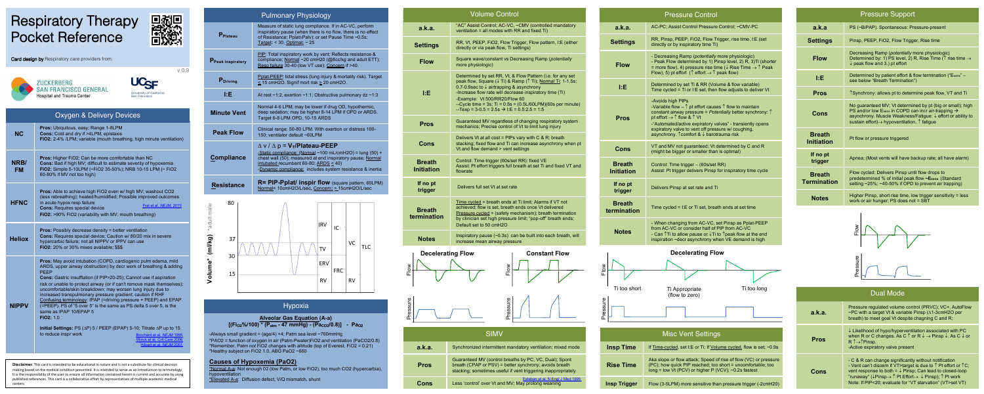# Respiratory Therapy Pocket Reference



v 0.9

Card design by Respiratory care providers from:





|                   | <b>Oxygen &amp; Delivery Devices</b>                                                                                                                                                                                                                                                                                                                                                                                                                                                                                                                                                                                                                                                                                                                                                              |
|-------------------|---------------------------------------------------------------------------------------------------------------------------------------------------------------------------------------------------------------------------------------------------------------------------------------------------------------------------------------------------------------------------------------------------------------------------------------------------------------------------------------------------------------------------------------------------------------------------------------------------------------------------------------------------------------------------------------------------------------------------------------------------------------------------------------------------|
| NC                | Pros: Ubiquitous, easy; Range 1-8LPM<br>Cons: Cold and drv if >4LPM, epistaxis<br>FiO2: 2-4% /LPM; variable (mouth breathing, high minute ventilation)                                                                                                                                                                                                                                                                                                                                                                                                                                                                                                                                                                                                                                            |
| NRR/<br><b>FM</b> | Pros: Higher FiO2; Can be more comfortable than NC<br>Cons: Bad if high MV; difficult to estimate severity of hypoxemia<br>FIO2: Simple 5-10LPM (~FIO2 35-50%); NRB 10-15 LPM (~ FIO2<br>60-80% if MV not too high)                                                                                                                                                                                                                                                                                                                                                                                                                                                                                                                                                                               |
| <b>HFNC</b>       | Pros: Able to achieve high FiO2 even w/ high MV; washout CO2<br>(less rebreathing); heated/humidified; Possible improved outcomes<br>in acute hypox resp failure<br>Frat et al. NEJM. 2015<br><b>Cons: Requires special device</b><br>FiO2: >90% FiO2 (variability with MV, mouth breathing)                                                                                                                                                                                                                                                                                                                                                                                                                                                                                                      |
| Heliox            | <b>Pros:</b> Possibly decrease density = better ventilation<br>Cons: Requires special device; Caution w/ 80/20 mix in severe<br>hypercarbic failure; not all NIPPV or IPPV can use<br>FiO2: 20% or 30% mixes available: \$\$\$                                                                                                                                                                                                                                                                                                                                                                                                                                                                                                                                                                    |
| NIPPV             | Pros: May avoid intubation (COPD, cardiogenic pulm edema, mild<br>ARDS, upper airway obstruction) by decr work of breathing & adding<br>PEEP<br>Cons: Gastric insufflation (if PIP>20-25); Cannot use if aspiration<br>risk or unable to protect airway (or if can't remove mask themselves);<br>uncomfortable/skin breakdown; may worsen lung injury due to<br>increased transpulmonary pressure gradient; caution if RHF<br>Confusing terminology: IPAP (=driving pressure + PEEP) and EPAP<br>(=PEEP). PS of "5 over 5" is the same as PS delta 5 over 5, is the<br>same as IPAP 10/EPAP 5<br>FiO2: 1.0<br>Initial Settings: PS (AP) 5 / PEEP (EPAP) 5-10; Titrate AP up to 15<br>to reduce inspr work<br>Brochard et al. NEJM 1995<br>Winck et al. Crit Care 2006<br>Hilbert et al. NEJM 2001 |
|                   |                                                                                                                                                                                                                                                                                                                                                                                                                                                                                                                                                                                                                                                                                                                                                                                                   |

**Disclaimer:** This card is intended to be educational in nature and is not a substitute for clinical decision<br>making based on the medical condition presented. It is intended to serve as an introduction to terminology.<br>It i

|                                               | <b>Pulmonary Physiology</b>                                                                                                                                                                                                                                                        |                  |            |           |      |  |
|-----------------------------------------------|------------------------------------------------------------------------------------------------------------------------------------------------------------------------------------------------------------------------------------------------------------------------------------|------------------|------------|-----------|------|--|
| P <sub>Plateau</sub>                          | Measure of static lung compliance. If in AC-VC, perform<br>inspiratory pause (when there is no flow, there is no effect<br>of Resistance; Pplat=Palv); or set Pause Time ~0.5s;                                                                                                    |                  |            |           |      |  |
| P Peak inspiratory                            | PIP: Total inspiratory work by vent; Reflects resistance &<br>compliance; Normal ~20 cmH20 (@8cc/kg and adult ETT);<br>Resp failure 30-40 (low VT use); Concern if >40.                                                                                                            |                  |            |           |      |  |
| P <sub>Driving</sub>                          | Polat-PEEP: tidal stress (lung injury & mortality risk). Target<br>$\leq$ 15 cmH2O. Signif mort risk $\geq$ 20 cmH2O.                                                                                                                                                              |                  |            |           |      |  |
| ĿЕ                                            | At rest ~1:2, exertion ~1:1; Obstructive pulmonary dz ~1:3                                                                                                                                                                                                                         |                  |            |           |      |  |
| <b>Minute Vent</b>                            | Normal 4-6 LPM; may be lower if drug OD, hypothermic,<br>deep sedation; may be higher 8-14 LPM if OPD or ARDS.<br>Target 6-8 LPM OPD, 10-15 ARDS                                                                                                                                   |                  |            |           |      |  |
| <b>Peak Flow</b>                              | Clinical range: 50-80 LPM. With exertion or distress 100-<br>150; ventilator default ~60LPM                                                                                                                                                                                        |                  |            |           |      |  |
| <b>Compliance</b>                             | $\Delta$ v / $\Delta$ p = $V_T$ /Plateau-PEEP<br>-Static compliance: (Normal ~100 mL/cmH2O) = lung (50) +<br>chest wall (50); measured at end inspiratory pause; Normal<br>intubated recumbent 60-80; ARDS $\leq$ 40)<br>-Dynamic compliance: includes system resistance & inertia |                  |            |           |      |  |
| <b>Resistance</b>                             | $R = PIP-Pplat/$ inspir flow (square pattern, 60LPM)<br>Normal< 10cmH2O/L/sec, Concern: > 15cmH2O/L/sec                                                                                                                                                                            |                  |            |           |      |  |
| 80<br>Volume* (ml/kg) *adult male<br>37<br>30 |                                                                                                                                                                                                                                                                                    | <b>IRV</b><br>TV | IC         | VC        | TI C |  |
| 15                                            |                                                                                                                                                                                                                                                                                    | ERV<br><b>RV</b> | <b>FRC</b> | <b>RV</b> |      |  |



## Hypoxia

# **Alveolar Gas Equation (A-a) [(FiO2%/100) \* (Patm - 47 mmHg) - (PaCO2/0.8)] - PaO2**

-Always small gradient = (age/4) +4; Patm sea level ~760mmHg \*PAO2 = function of oxygen in air (Patm-Pwater)FiO2 *and* ventilation (PaCO2/0.8) \*Remember, Patm *not* FiO2 changes with altitude (top of Everest, FiO2 = 0.21) \*Healthy subject on FiO2 1.0, ABG PaO2 ~660

**Causes of Hypoxemia (PaO2)**<br>\*<u>Normal A-a</u>: Not enough 02 (low Patm, or low FiO2), too much CO2 (hypercarbia),<br>hypoventilation<br>\*<u>Elevated A-a</u>: Diffusion defect, V/Q mismatch, shunt

| <b>Settings</b>                    | RR, Vt, PE<br>directly or                                                                               |  |
|------------------------------------|---------------------------------------------------------------------------------------------------------|--|
| <b>Flow</b>                        | Square wa<br>more phys                                                                                  |  |
| ĿΕ                                 | <b>Determine</b><br>peak flow,<br>0.7-0.9sec<br>-Increase<br>-Example:<br>--Cycle tim<br>$-$ Texp = $3$ |  |
| Pros                               | Guarantee<br>mechanics                                                                                  |  |
| Cons                               | Delivers V<br>stacking; fi<br>Vt and flov                                                               |  |
| <b>Breath</b><br><b>Initiation</b> | Control: Ti<br>Assist: Pt 6<br>flowrate                                                                 |  |
| If no pt<br>trigger                | Delivers ft                                                                                             |  |
| <b>Breath</b><br><b>ermination</b> | <b>Time cycle</b><br>achieved;<br>Pressure o<br>by cliniciar<br>Default set                             |  |
| <b>Notes</b>                       | Inspiratory<br>increase m                                                                               |  |
| <b>Decelerating Flow</b>           |                                                                                                         |  |
|                                    |                                                                                                         |  |

**a.k.a.** "AC" Assis

ventilation

 $V<sub>C</sub>$ 



ter

Flow

| a.k.a.      | Synchronize                                |
|-------------|--------------------------------------------|
| <b>Pros</b> | Guaranteed<br>breath (CPA<br>stacking; sor |
| Cons        | Less 'control                              |